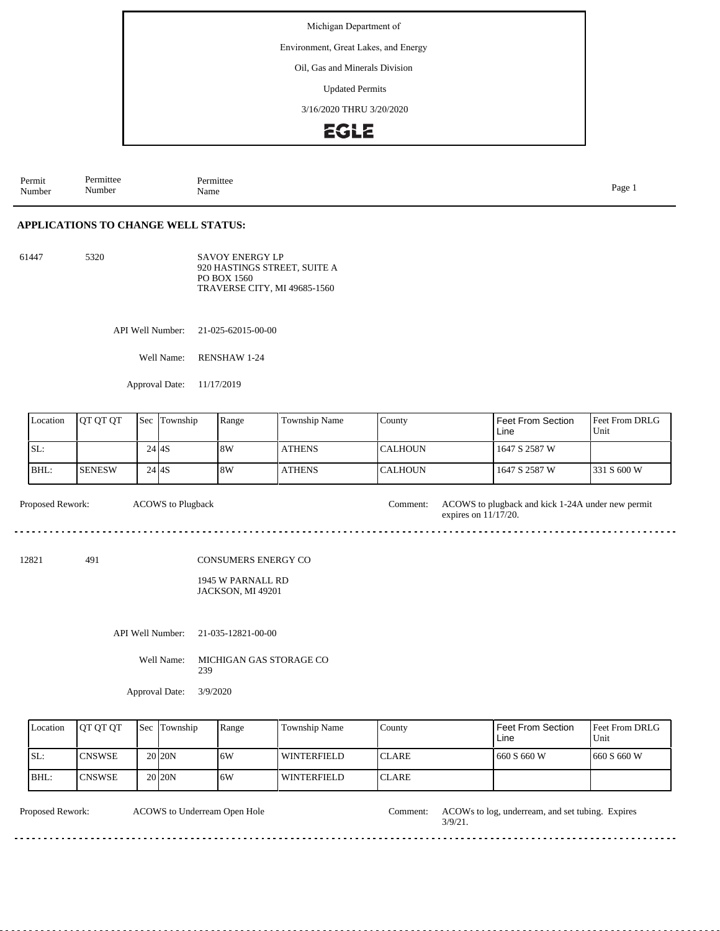Michigan Department of

Environment, Great Lakes, and Energy

Oil, Gas and Minerals Division

Updated Permits

3/16/2020 THRU 3/20/2020

## **EGLE**

Permit Number Permittee Number Permittee<br>Name Name Page 1

## **APPLICATIONS TO CHANGE WELL STATUS:**

61447 5320 SAVOY ENERGY LP 920 HASTINGS STREET, SUITE A PO BOX 1560 TRAVERSE CITY, MI 49685-1560

API Well Number: 21-025-62015-00-00

Well Name: RENSHAW 1-24

Approval Date: 11/17/2019

ACOWS to Plugback

| Location | <b>IOT OT OT</b> | Sec | Township | Range | Township Name | County          | Feet From Section<br>Line | <b>Feet From DRLG</b><br>Unit |
|----------|------------------|-----|----------|-------|---------------|-----------------|---------------------------|-------------------------------|
| 'SL:     |                  |     | 24 I 4 S | 8W    | <b>ATHENS</b> | <b>ICALHOUN</b> | 1647 S 2587 W             |                               |
| BHL:     | <b>SENESW</b>    |     | 24 I 4 S | 8W    | <b>ATHENS</b> | <b>ICALHOUN</b> | 1647 S 2587 W             | 1331 S 600 W                  |

Proposed Rework: ACOWS to plugback and kick 1-24A under new permit

12821 491

CONSUMERS ENERGY CO

1945 W PARNALL RD JACKSON, MI 49201

API Well Number: 21-035-12821-00-00

Well Name: MICHIGAN GAS STORAGE CO 239

Approval Date: 3/9/2020

| Location | <b>IOT OT OT</b> | <b>Sec Township</b> | Range | Township Name | County        | Feet From Section<br>Line | <b>Feet From DRLG</b><br>Unit |
|----------|------------------|---------------------|-------|---------------|---------------|---------------------------|-------------------------------|
| SL:      | <b>CNSWSE</b>    | 20 <sub>20</sub> N  | 16W   | l winterfield | <b>ICLARE</b> | 660 S 660 W               | 1660 S 660 W                  |
| BHL:     | <b>ICNSWSE</b>   | 20 <sub>20</sub> N  | 16W   | l winterfield | <b>ICLARE</b> |                           |                               |

ACOWS to Underream Open Hole

Proposed Rework: ACOWs to log, underream, and set tubing. Expires 3/9/21.

expires on 11/17/20.